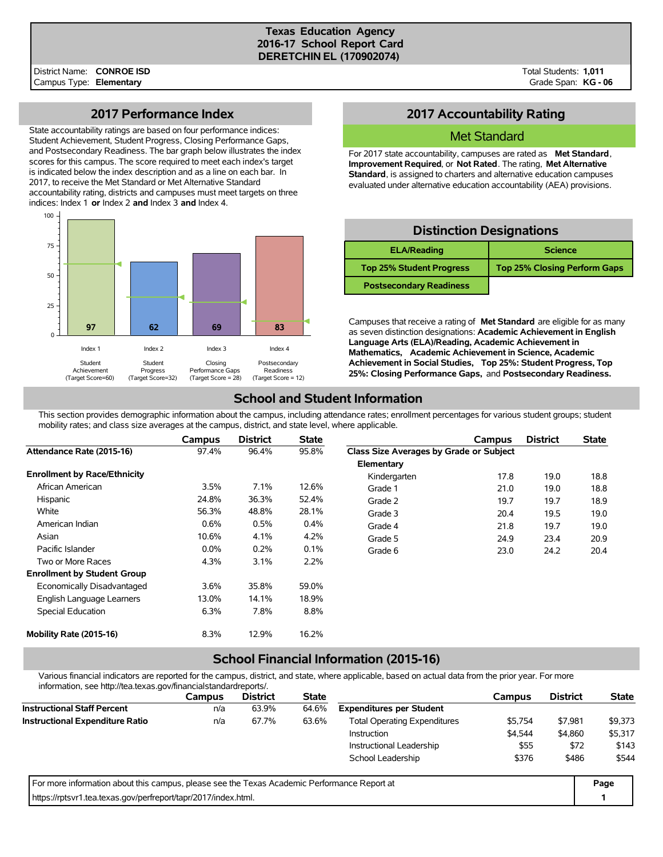#### **Texas Education Agency 2016-17 School Report Card DERETCHIN EL (170902074)**

Total Students: **1,011** Grade Span: **KG - 06**

## **2017 Performance Index**

State accountability ratings are based on four performance indices: Student Achievement, Student Progress, Closing Performance Gaps, and Postsecondary Readiness. The bar graph below illustrates the index scores for this campus. The score required to meet each index's target is indicated below the index description and as a line on each bar. In 2017, to receive the Met Standard or Met Alternative Standard accountability rating, districts and campuses must meet targets on three indices: Index 1 **or** Index 2 **and** Index 3 **and** Index 4.



## **2017 Accountability Rating**

#### Met Standard

For 2017 state accountability, campuses are rated as **Met Standard**, **Improvement Required**, or **Not Rated**. The rating, **Met Alternative Standard**, is assigned to charters and alternative education campuses evaluated under alternative education accountability (AEA) provisions.

## **Distinction Designations**

| <b>ELA/Reading</b>              | <b>Science</b>                      |
|---------------------------------|-------------------------------------|
| <b>Top 25% Student Progress</b> | <b>Top 25% Closing Perform Gaps</b> |
| <b>Postsecondary Readiness</b>  |                                     |

Campuses that receive a rating of **Met Standard** are eligible for as many as seven distinction designations: **Academic Achievement in English Language Arts (ELA)/Reading, Academic Achievement in Mathematics, Academic Achievement in Science, Academic Achievement in Social Studies, Top 25%: Student Progress, Top 25%: Closing Performance Gaps,** and **Postsecondary Readiness.**

# **School and Student Information**

This section provides demographic information about the campus, including attendance rates; enrollment percentages for various student groups; student mobility rates; and class size averages at the campus, district, and state level, where applicable.

|                                     | Campus  | <b>District</b> | <b>State</b> |                                         | Campus | <b>District</b> | <b>State</b> |
|-------------------------------------|---------|-----------------|--------------|-----------------------------------------|--------|-----------------|--------------|
| Attendance Rate (2015-16)           | 97.4%   | 96.4%           | 95.8%        | Class Size Averages by Grade or Subject |        |                 |              |
|                                     |         |                 |              | Elementary                              |        |                 |              |
| <b>Enrollment by Race/Ethnicity</b> |         |                 |              | Kindergarten                            | 17.8   | 19.0            | 18.8         |
| African American                    | $3.5\%$ | 7.1%            | 12.6%        | Grade 1                                 | 21.0   | 19.0            | 18.8         |
| Hispanic                            | 24.8%   | 36.3%           | 52.4%        | Grade 2                                 | 19.7   | 19.7            | 18.9         |
| White                               | 56.3%   | 48.8%           | 28.1%        | Grade 3                                 | 20.4   | 19.5            | 19.0         |
| American Indian                     | 0.6%    | 0.5%            | $0.4\%$      | Grade 4                                 | 21.8   | 19.7            | 19.0         |
| Asian                               | 10.6%   | 4.1%            | 4.2%         | Grade 5                                 | 24.9   | 23.4            | 20.9         |
| Pacific Islander                    | $0.0\%$ | 0.2%            | 0.1%         | Grade 6                                 | 23.0   | 24.2            | 20.4         |
| Two or More Races                   | 4.3%    | 3.1%            | 2.2%         |                                         |        |                 |              |
| <b>Enrollment by Student Group</b>  |         |                 |              |                                         |        |                 |              |
| Economically Disadvantaged          | 3.6%    | 35.8%           | 59.0%        |                                         |        |                 |              |
| English Language Learners           | 13.0%   | 14.1%           | 18.9%        |                                         |        |                 |              |
| Special Education                   | 6.3%    | 7.8%            | 8.8%         |                                         |        |                 |              |
| Mobility Rate (2015-16)             | 8.3%    | 12.9%           | 16.2%        |                                         |        |                 |              |

#### **School Financial Information (2015-16)**

Various financial indicators are reported for the campus, district, and state, where applicable, based on actual data from the prior year. For more information, see http://tea.texas.gov/financialstandardreports/.

| <u> II IIUI I I I IIUI I, SEE TIUD 7768.1688.9007111 I III ICI II SIGI IUI II EDUI IS/.</u> |        |                 |              |                                     |               |                 |              |
|---------------------------------------------------------------------------------------------|--------|-----------------|--------------|-------------------------------------|---------------|-----------------|--------------|
|                                                                                             | Campus | <b>District</b> | <b>State</b> |                                     | <b>Campus</b> | <b>District</b> | <b>State</b> |
| <b>Instructional Staff Percent</b>                                                          | n/a    | 63.9%           | 64.6%        | <b>Expenditures per Student</b>     |               |                 |              |
| <b>Instructional Expenditure Ratio</b>                                                      | n/a    | 67.7%           | 63.6%        | <b>Total Operating Expenditures</b> | \$5.754       | \$7.981         | \$9,373      |
|                                                                                             |        |                 |              | Instruction                         | \$4,544       | \$4,860         | \$5,317      |
|                                                                                             |        |                 |              | Instructional Leadership            | \$55          | \$72            | \$143        |
|                                                                                             |        |                 |              | School Leadership                   | \$376         | \$486           | \$544        |
| For more information about this campus, please see the Texas Academic Performance Report at |        |                 |              |                                     |               |                 | Page         |
| https://rptsvr1.tea.texas.gov/perfreport/tapr/2017/index.html.                              |        |                 |              |                                     |               |                 |              |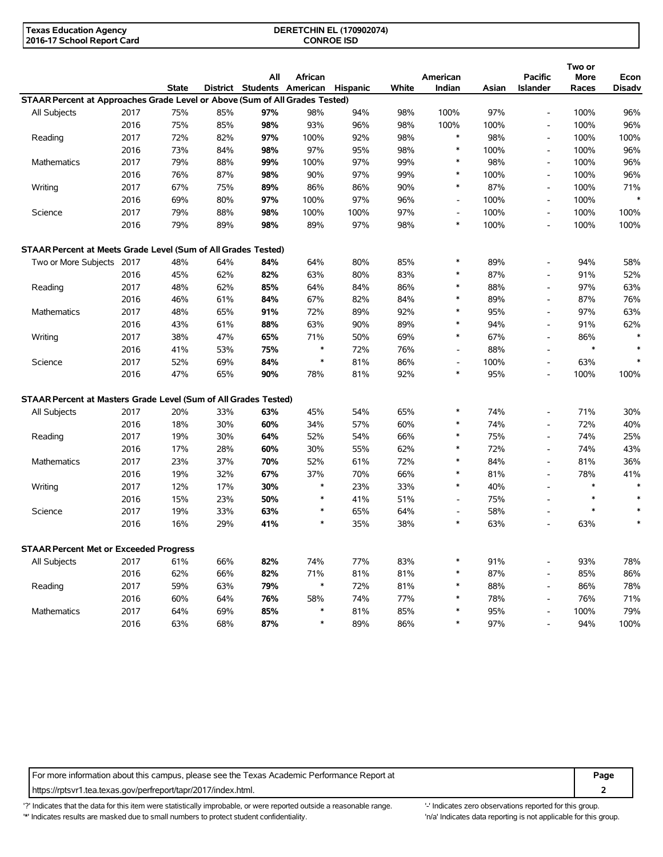| <b>Texas Education Agency</b> | <b>DERETCHIN EL (170902074)</b> |  |
|-------------------------------|---------------------------------|--|
| 2016-17 School Report Card    | <b>CONROE ISD</b>               |  |

|                                                                             |      |              |     | All                        | African |                 |       | American                 |       | <b>Pacific</b>           | Two or<br>More | Econ          |
|-----------------------------------------------------------------------------|------|--------------|-----|----------------------------|---------|-----------------|-------|--------------------------|-------|--------------------------|----------------|---------------|
|                                                                             |      | <b>State</b> |     | District Students American |         | <b>Hispanic</b> | White | Indian                   | Asian | <b>Islander</b>          | Races          | <b>Disadv</b> |
| STAAR Percent at Approaches Grade Level or Above (Sum of All Grades Tested) |      |              |     |                            |         |                 |       |                          |       |                          |                |               |
| All Subjects                                                                | 2017 | 75%          | 85% | 97%                        | 98%     | 94%             | 98%   | 100%                     | 97%   | $\overline{\phantom{a}}$ | 100%           | 96%           |
|                                                                             | 2016 | 75%          | 85% | 98%                        | 93%     | 96%             | 98%   | 100%                     | 100%  | $\sim$                   | 100%           | 96%           |
| Reading                                                                     | 2017 | 72%          | 82% | 97%                        | 100%    | 92%             | 98%   | $\ast$                   | 98%   | $\overline{\phantom{a}}$ | 100%           | 100%          |
|                                                                             | 2016 | 73%          | 84% | 98%                        | 97%     | 95%             | 98%   | $\ast$                   | 100%  | $\blacksquare$           | 100%           | 96%           |
| <b>Mathematics</b>                                                          | 2017 | 79%          | 88% | 99%                        | 100%    | 97%             | 99%   | $\ast$                   | 98%   | $\overline{\phantom{a}}$ | 100%           | 96%           |
|                                                                             | 2016 | 76%          | 87% | 98%                        | 90%     | 97%             | 99%   | $\ast$                   | 100%  | $\overline{\phantom{a}}$ | 100%           | 96%           |
| Writing                                                                     | 2017 | 67%          | 75% | 89%                        | 86%     | 86%             | 90%   | $\ast$                   | 87%   | $\overline{\phantom{a}}$ | 100%           | 71%           |
|                                                                             | 2016 | 69%          | 80% | 97%                        | 100%    | 97%             | 96%   | $\overline{\phantom{a}}$ | 100%  | $\overline{\phantom{a}}$ | 100%           | $\ast$        |
| Science                                                                     | 2017 | 79%          | 88% | 98%                        | 100%    | 100%            | 97%   | $\overline{\phantom{a}}$ | 100%  | $\overline{\phantom{a}}$ | 100%           | 100%          |
|                                                                             | 2016 | 79%          | 89% | 98%                        | 89%     | 97%             | 98%   | $\ast$                   | 100%  | $\overline{\phantom{a}}$ | 100%           | 100%          |
|                                                                             |      |              |     |                            |         |                 |       |                          |       |                          |                |               |
| STAAR Percent at Meets Grade Level (Sum of All Grades Tested)               |      |              |     |                            |         |                 |       | $\ast$                   |       |                          |                |               |
| Two or More Subjects 2017                                                   |      | 48%          | 64% | 84%                        | 64%     | 80%             | 85%   | *                        | 89%   | $\blacksquare$           | 94%            | 58%           |
|                                                                             | 2016 | 45%          | 62% | 82%                        | 63%     | 80%             | 83%   | $\ast$                   | 87%   | $\sim$                   | 91%            | 52%           |
| Reading                                                                     | 2017 | 48%          | 62% | 85%                        | 64%     | 84%             | 86%   | *                        | 88%   | $\sim$                   | 97%            | 63%           |
|                                                                             | 2016 | 46%          | 61% | 84%                        | 67%     | 82%             | 84%   | *                        | 89%   | $\blacksquare$           | 87%            | 76%           |
| <b>Mathematics</b>                                                          | 2017 | 48%          | 65% | 91%                        | 72%     | 89%             | 92%   |                          | 95%   | $\overline{\phantom{a}}$ | 97%            | 63%           |
|                                                                             | 2016 | 43%          | 61% | 88%                        | 63%     | 90%             | 89%   | $\ast$                   | 94%   | $\overline{\phantom{a}}$ | 91%            | 62%           |
| Writing                                                                     | 2017 | 38%          | 47% | 65%                        | 71%     | 50%             | 69%   | $\ast$                   | 67%   | $\overline{\phantom{a}}$ | 86%            | $\ast$        |
|                                                                             | 2016 | 41%          | 53% | 75%                        | $\ast$  | 72%             | 76%   | $\overline{a}$           | 88%   | $\overline{\phantom{a}}$ | $\ast$         | $\ast$        |
| Science                                                                     | 2017 | 52%          | 69% | 84%                        | ∗       | 81%             | 86%   | $\overline{a}$           | 100%  | $\overline{\phantom{a}}$ | 63%            | $\ast$        |
|                                                                             | 2016 | 47%          | 65% | 90%                        | 78%     | 81%             | 92%   | $\ast$                   | 95%   | $\blacksquare$           | 100%           | 100%          |
| STAAR Percent at Masters Grade Level (Sum of All Grades Tested)             |      |              |     |                            |         |                 |       |                          |       |                          |                |               |
| All Subjects                                                                | 2017 | 20%          | 33% | 63%                        | 45%     | 54%             | 65%   | *                        | 74%   | $\overline{\phantom{a}}$ | 71%            | 30%           |
|                                                                             | 2016 | 18%          | 30% | 60%                        | 34%     | 57%             | 60%   | *                        | 74%   | $\overline{\phantom{a}}$ | 72%            | 40%           |
| Reading                                                                     | 2017 | 19%          | 30% | 64%                        | 52%     | 54%             | 66%   | *                        | 75%   | $\blacksquare$           | 74%            | 25%           |
|                                                                             | 2016 | 17%          | 28% | 60%                        | 30%     | 55%             | 62%   | *                        | 72%   | $\overline{\phantom{a}}$ | 74%            | 43%           |
| Mathematics                                                                 | 2017 | 23%          | 37% | 70%                        | 52%     | 61%             | 72%   | $\ast$                   | 84%   | $\overline{\phantom{a}}$ | 81%            | 36%           |
|                                                                             | 2016 | 19%          | 32% | 67%                        | 37%     | 70%             | 66%   | *                        | 81%   | $\overline{\phantom{a}}$ | 78%            | 41%           |
| Writing                                                                     | 2017 | 12%          | 17% | 30%                        | *       | 23%             | 33%   | $\ast$                   | 40%   | $\sim$                   | $\ast$         | $\ast$        |
|                                                                             | 2016 | 15%          | 23% | 50%                        | *       | 41%             | 51%   | $\overline{\phantom{a}}$ | 75%   | $\blacksquare$           | $\ast$         | $\ast$        |
| Science                                                                     | 2017 | 19%          | 33% | 63%                        | *       | 65%             | 64%   | $\overline{\phantom{a}}$ | 58%   | $\overline{\phantom{a}}$ | $\ast$         | $\ast$        |
|                                                                             | 2016 | 16%          | 29% | 41%                        | *       | 35%             | 38%   | $\ast$                   | 63%   | $\overline{\phantom{a}}$ | 63%            | $\ast$        |
| <b>STAAR Percent Met or Exceeded Progress</b>                               |      |              |     |                            |         |                 |       |                          |       |                          |                |               |
| All Subjects                                                                | 2017 | 61%          | 66% | 82%                        | 74%     | 77%             | 83%   | $\ast$                   | 91%   |                          | 93%            | 78%           |
|                                                                             | 2016 | 62%          | 66% | 82%                        | 71%     | 81%             | 81%   | $\ast$                   | 87%   |                          | 85%            | 86%           |
| Reading                                                                     | 2017 | 59%          | 63% | 79%                        | $\ast$  | 72%             | 81%   | $\ast$                   | 88%   | $\blacksquare$           | 86%            | 78%           |
|                                                                             | 2016 | 60%          | 64% | 76%                        | 58%     | 74%             | 77%   | $\ast$                   | 78%   | $\blacksquare$           | 76%            | 71%           |
| Mathematics                                                                 | 2017 | 64%          | 69% | 85%                        | *       | 81%             | 85%   | $\ast$                   | 95%   | $\overline{\phantom{a}}$ | 100%           | 79%           |
|                                                                             | 2016 | 63%          | 68% | 87%                        | $\ast$  | 89%             | 86%   | $\ast$                   | 97%   | $\overline{\phantom{a}}$ | 94%            | 100%          |
|                                                                             |      |              |     |                            |         |                 |       |                          |       |                          |                |               |

For more information about this campus, please see the Texas Academic Performance Report at **Page Page** https://rptsvr1.tea.texas.gov/perfreport/tapr/2017/index.html. **2**

'?' Indicates that the data for this item were statistically improbable, or were reported outside a reasonable range. '-' Indicates zero observations reported for this group. '\*' Indicates results are masked due to small numbers to protect student confidentiality. Moreover, the context of the strong is not applicable for this group.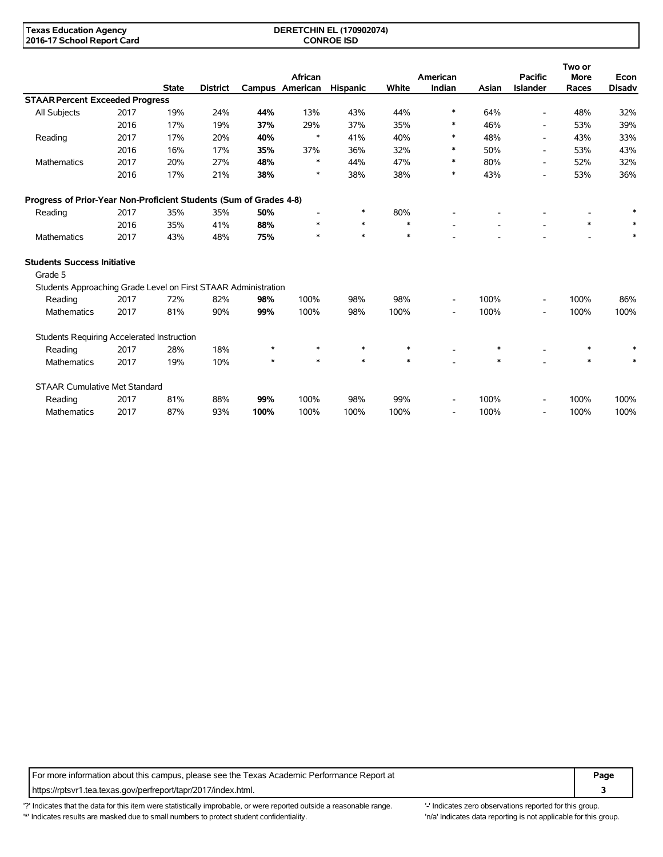#### **DERETCHIN EL (170902074) CONROE ISD**

|                                                                    |      |              |                 |         |                 |          |        |                          |        |                          | Two or      |               |
|--------------------------------------------------------------------|------|--------------|-----------------|---------|-----------------|----------|--------|--------------------------|--------|--------------------------|-------------|---------------|
|                                                                    |      |              |                 |         | African         |          |        | American                 |        | <b>Pacific</b>           | <b>More</b> | Econ          |
|                                                                    |      | <b>State</b> | <b>District</b> |         | Campus American | Hispanic | White  | Indian                   | Asian  | <b>Islander</b>          | Races       | <b>Disadv</b> |
| <b>STAAR Percent Exceeded Progress</b>                             |      |              |                 |         |                 |          |        |                          |        |                          |             |               |
| All Subjects                                                       | 2017 | 19%          | 24%             | 44%     | 13%             | 43%      | 44%    | $\ast$                   | 64%    | $\overline{\phantom{a}}$ | 48%         | 32%           |
|                                                                    | 2016 | 17%          | 19%             | 37%     | 29%             | 37%      | 35%    | ∗                        | 46%    | $\overline{\phantom{a}}$ | 53%         | 39%           |
| Reading                                                            | 2017 | 17%          | 20%             | 40%     | $\ast$          | 41%      | 40%    | ∗                        | 48%    | $\blacksquare$           | 43%         | 33%           |
|                                                                    | 2016 | 16%          | 17%             | 35%     | 37%             | 36%      | 32%    | ∗                        | 50%    | $\overline{\phantom{a}}$ | 53%         | 43%           |
| <b>Mathematics</b>                                                 | 2017 | 20%          | 27%             | 48%     | $\ast$          | 44%      | 47%    | $\ast$                   | 80%    | $\overline{\phantom{a}}$ | 52%         | 32%           |
|                                                                    | 2016 | 17%          | 21%             | 38%     | ∗               | 38%      | 38%    | $\ast$                   | 43%    |                          | 53%         | 36%           |
| Progress of Prior-Year Non-Proficient Students (Sum of Grades 4-8) |      |              |                 |         |                 |          |        |                          |        |                          |             |               |
| Reading                                                            | 2017 | 35%          | 35%             | 50%     |                 | *        | 80%    |                          |        |                          |             | *             |
|                                                                    | 2016 | 35%          | 41%             | 88%     | ∗               | $\ast$   | $\ast$ |                          |        |                          | $\ast$      |               |
| <b>Mathematics</b>                                                 | 2017 | 43%          | 48%             | 75%     | $\ast$          | $\ast$   | $\ast$ |                          |        |                          |             | *             |
| <b>Students Success Initiative</b>                                 |      |              |                 |         |                 |          |        |                          |        |                          |             |               |
| Grade 5                                                            |      |              |                 |         |                 |          |        |                          |        |                          |             |               |
| Students Approaching Grade Level on First STAAR Administration     |      |              |                 |         |                 |          |        |                          |        |                          |             |               |
| Reading                                                            | 2017 | 72%          | 82%             | 98%     | 100%            | 98%      | 98%    | $\overline{\phantom{a}}$ | 100%   | $\overline{\phantom{a}}$ | 100%        | 86%           |
| Mathematics                                                        | 2017 | 81%          | 90%             | 99%     | 100%            | 98%      | 100%   | $\overline{\phantom{a}}$ | 100%   | $\overline{\phantom{a}}$ | 100%        | 100%          |
| Students Requiring Accelerated Instruction                         |      |              |                 |         |                 |          |        |                          |        |                          |             |               |
| Reading                                                            | 2017 | 28%          | 18%             | $\ast$  | $\ast$          | $\ast$   | $\ast$ |                          | $\ast$ |                          | $\ast$      |               |
| <b>Mathematics</b>                                                 | 2017 | 19%          | 10%             | $\star$ | $\ast$          | $\ast$   | $\ast$ |                          | *      |                          | $\ast$      |               |
| <b>STAAR Cumulative Met Standard</b>                               |      |              |                 |         |                 |          |        |                          |        |                          |             |               |
| Reading                                                            | 2017 | 81%          | 88%             | 99%     | 100%            | 98%      | 99%    |                          | 100%   |                          | 100%        | 100%          |
| Mathematics                                                        | 2017 | 87%          | 93%             | 100%    | 100%            | 100%     | 100%   | $\overline{\phantom{a}}$ | 100%   | $\overline{\phantom{a}}$ | 100%        | 100%          |

For more information about this campus, please see the Texas Academic Performance Report at **Page Page** https://rptsvr1.tea.texas.gov/perfreport/tapr/2017/index.html. **3**

'?' Indicates that the data for this item were statistically improbable, or were reported outside a reasonable range. '' Indicates zero observations reported for this group. '\*' Indicates results are masked due to small numbers to protect student confidentiality. Ma' Indicates data reporting is not applicable for this group.